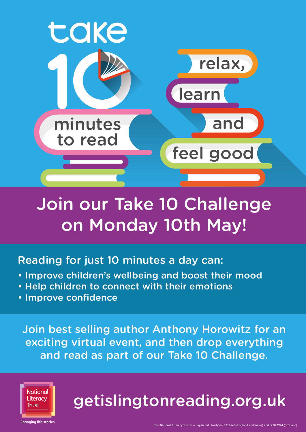

# Join our Take 10 Challenge on Monday 10th May!

## Reading for just 10 minutes a day can:

- Improve children's wellbeing and boost their mood
- Help children to connect with their emotions
- Improve confidence

Join best selling author Anthony Horowitz for an exciting virtual event, and then drop everything and read as part of our Take 10 Challenge.



# getislingtonreading.org.uk